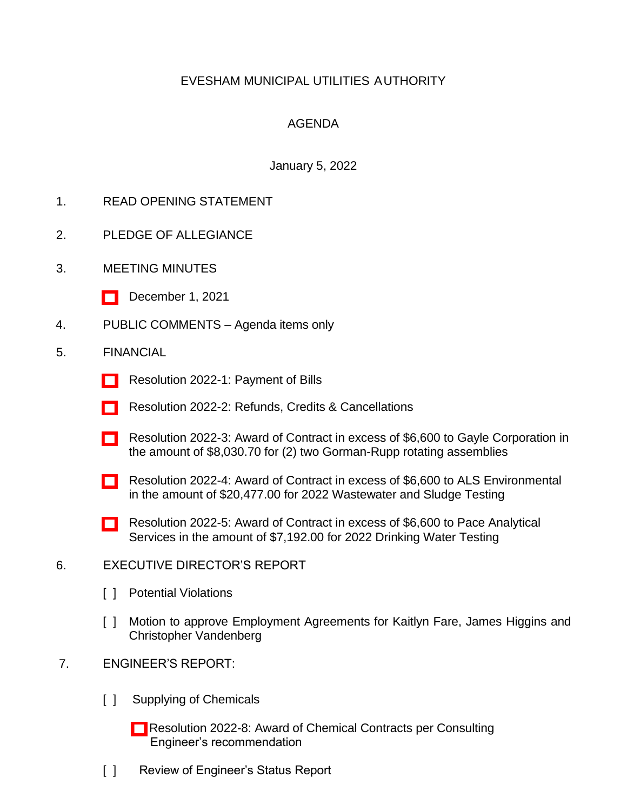## EVESHAM MUNICIPAL UTILITIES AUTHORITY

## AGENDA

January 5, 2022

- 1. READ OPENING STATEMENT
- 2. PLEDGE OF ALLEGIANCE
- 3. MEETING MINUTES
	- [\[ \]](http://www.eveshammua.com/wp-content/uploads/2021/12/minutes-12-1-2021.pdf) December 1, 2021
- 4. PUBLIC COMMENTS Agenda items only
- 5. FINANCIAL
	- [\[ \]](http://www.eveshammua.com/wp-content/uploads/2021/12/Resolution-2022-1-December-Bill-List..pdf) Resolution 2022-1: Payment of Bills
	- [\[ \]](http://www.eveshammua.com/wp-content/uploads/2021/12/Resolution-2022-2-Refunds.pdf) Resolution 2022-2: Refunds, Credits & Cancellations
	- [\[ \]](http://www.eveshammua.com/wp-content/uploads/2021/12/Resolution-2022-3-Gayle-Corp.pdf) Resolution 2022-3: Award of Contract in excess of \$6,600 to Gayle Corporation in the amount of \$8,030.70 for (2) two Gorman-Rupp rotating assemblies
	- [\[ \]](http://www.eveshammua.com/wp-content/uploads/2021/12/Resolution-2022-4-ALS-Environmental.pdf) Resolution 2022-4: Award of Contract in excess of \$6,600 to ALS Environmental in the amount of \$20,477.00 for 2022 Wastewater and Sludge Testing
	- [\[ \]](http://www.eveshammua.com/wp-content/uploads/2021/12/Resolution-2022-5-Pace-Analytical.pdf) Resolution 2022-5: Award of Contract in excess of \$6,600 to Pace Analytical Services in the amount of \$7,192.00 for 2022 Drinking Water Testing
- 6. EXECUTIVE DIRECTOR'S REPORT
	- [ ] Potential Violations
	- [ ] Motion to approve Employment Agreements for Kaitlyn Fare, James Higgins and Christopher Vandenberg
- 7. ENGINEER'S REPORT:
	- [ ] Supplying of Chemicals
		- [\[ \]](http://www.eveshammua.com/wp-content/uploads/2021/12/Resolution-2022-8-Chemical-Contracts.pdf) Resolution 2022-8: Award of Chemical Contracts per Consulting Engineer's recommendation
	- [ ] Review of Engineer's Status Report